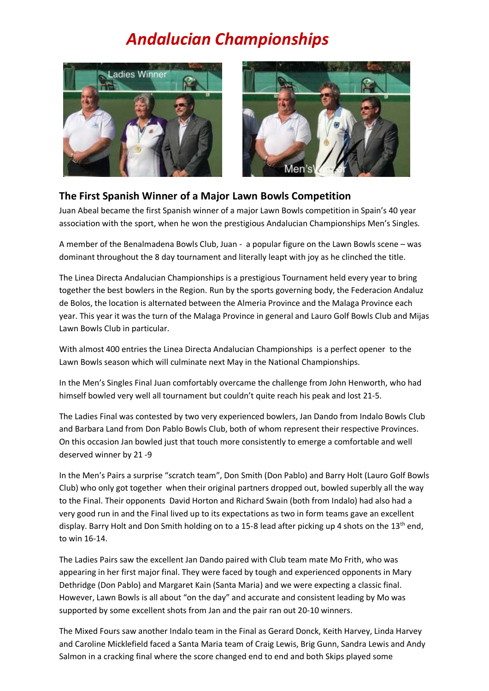## *Andalucian Championships*





## **The First Spanish Winner of a Major Lawn Bowls Competition**

Juan Abeal became the first Spanish winner of a major Lawn Bowls competition in Spain's 40 year association with the sport, when he won the prestigious Andalucian Championships Men's Singles.

A member of the Benalmadena Bowls Club, Juan - a popular figure on the Lawn Bowls scene – was dominant throughout the 8 day tournament and literally leapt with joy as he clinched the title.

The Linea Directa Andalucian Championships is a prestigious Tournament held every year to bring together the best bowlers in the Region. Run by the sports governing body, the Federacion Andaluz de Bolos, the location is alternated between the Almeria Province and the Malaga Province each year. This year it was the turn of the Malaga Province in general and Lauro Golf Bowls Club and Mijas Lawn Bowls Club in particular.

With almost 400 entries the Linea Directa Andalucian Championships is a perfect opener to the Lawn Bowls season which will culminate next May in the National Championships.

In the Men's Singles Final Juan comfortably overcame the challenge from John Henworth, who had himself bowled very well all tournament but couldn't quite reach his peak and lost 21-5.

The Ladies Final was contested by two very experienced bowlers, Jan Dando from Indalo Bowls Club and Barbara Land from Don Pablo Bowls Club, both of whom represent their respective Provinces. On this occasion Jan bowled just that touch more consistently to emerge a comfortable and well deserved winner by 21 -9

In the Men's Pairs a surprise "scratch team", Don Smith (Don Pablo) and Barry Holt (Lauro Golf Bowls Club) who only got together when their original partners dropped out, bowled superbly all the way to the Final. Their opponents David Horton and Richard Swain (both from Indalo) had also had a very good run in and the Final lived up to its expectations as two in form teams gave an excellent display. Barry Holt and Don Smith holding on to a 15-8 lead after picking up 4 shots on the 13<sup>th</sup> end, to win 16-14.

The Ladies Pairs saw the excellent Jan Dando paired with Club team mate Mo Frith, who was appearing in her first major final. They were faced by tough and experienced opponents in Mary Dethridge (Don Pablo) and Margaret Kain (Santa Maria) and we were expecting a classic final. However, Lawn Bowls is all about "on the day" and accurate and consistent leading by Mo was supported by some excellent shots from Jan and the pair ran out 20-10 winners.

The Mixed Fours saw another Indalo team in the Final as Gerard Donck, Keith Harvey, Linda Harvey and Caroline Micklefield faced a Santa Maria team of Craig Lewis, Brig Gunn, Sandra Lewis and Andy Salmon in a cracking final where the score changed end to end and both Skips played some